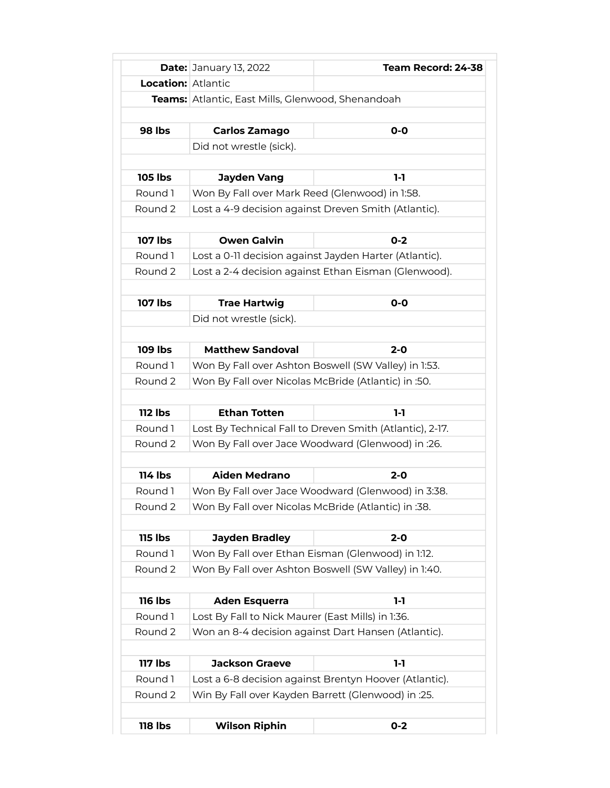|                           | <b>Date: January 13, 2022</b>                       | Team Record: 24-38                                       |
|---------------------------|-----------------------------------------------------|----------------------------------------------------------|
| <b>Location:</b> Atlantic |                                                     |                                                          |
|                           | Teams: Atlantic, East Mills, Glenwood, Shenandoah   |                                                          |
|                           |                                                     |                                                          |
| <b>98 lbs</b>             | Carlos Zamago                                       | $O-O$                                                    |
|                           | Did not wrestle (sick).                             |                                                          |
|                           |                                                     |                                                          |
| <b>105 lbs</b>            | Jayden Vang                                         | 1-1                                                      |
| Round 1                   | Won By Fall over Mark Reed (Glenwood) in 1:58.      |                                                          |
| Round 2                   |                                                     | Lost a 4-9 decision against Dreven Smith (Atlantic).     |
|                           |                                                     |                                                          |
| <b>107 lbs</b>            | <b>Owen Galvin</b>                                  | $0 - 2$                                                  |
| Round 1                   |                                                     | Lost a 0-11 decision against Jayden Harter (Atlantic).   |
| Round 2                   |                                                     | Lost a 2-4 decision against Ethan Eisman (Glenwood).     |
| <b>107 lbs</b>            | <b>Trae Hartwig</b>                                 | $O-O$                                                    |
|                           | Did not wrestle (sick).                             |                                                          |
|                           |                                                     |                                                          |
| <b>109 lbs</b>            | <b>Matthew Sandoval</b>                             | $2 - 0$                                                  |
| Round 1                   |                                                     | Won By Fall over Ashton Boswell (SW Valley) in 1:53.     |
| Round 2                   | Won By Fall over Nicolas McBride (Atlantic) in :50. |                                                          |
|                           |                                                     |                                                          |
| <b>112 lbs</b>            | <b>Ethan Totten</b>                                 | $1-1$                                                    |
| Round 1                   |                                                     | Lost By Technical Fall to Dreven Smith (Atlantic), 2-17. |
| Round 2                   |                                                     | Won By Fall over Jace Woodward (Glenwood) in :26.        |
|                           |                                                     |                                                          |
| <b>114 lbs</b>            | <b>Aiden Medrano</b>                                | $2 - 0$                                                  |
| Round 1                   | Won By Fall over Jace Woodward (Glenwood) in 3:38.  |                                                          |
| Round 2                   | Won By Fall over Nicolas McBride (Atlantic) in :38. |                                                          |
|                           |                                                     |                                                          |
| <b>115 lbs</b>            | <b>Jayden Bradley</b>                               | $2 - 0$                                                  |
| Round 1                   |                                                     | Won By Fall over Ethan Eisman (Glenwood) in 1:12.        |
| Round 2                   |                                                     | Won By Fall over Ashton Boswell (SW Valley) in 1:40.     |
|                           |                                                     |                                                          |
| <b>116 lbs</b>            | <b>Aden Esquerra</b>                                | $1-1$                                                    |
| Round 1                   | Lost By Fall to Nick Maurer (East Mills) in 1:36.   |                                                          |
| Round 2                   |                                                     | Won an 8-4 decision against Dart Hansen (Atlantic).      |
| <b>117 lbs</b>            | <b>Jackson Graeve</b>                               | $1-1$                                                    |
| Round 1                   |                                                     | Lost a 6-8 decision against Brentyn Hoover (Atlantic).   |
| Round 2                   |                                                     | Win By Fall over Kayden Barrett (Glenwood) in :25.       |
|                           |                                                     |                                                          |
|                           |                                                     |                                                          |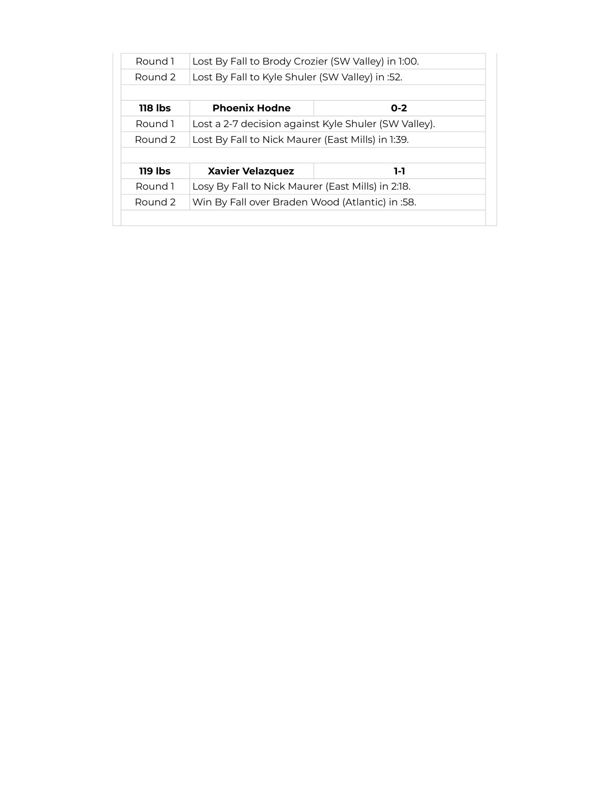| Round 1            | Lost By Fall to Brody Crozier (SW Valley) in 1:00. |                                                      |
|--------------------|----------------------------------------------------|------------------------------------------------------|
| Round <sub>2</sub> | Lost By Fall to Kyle Shuler (SW Valley) in :52.    |                                                      |
|                    |                                                    |                                                      |
| 118 lbs            | <b>Phoenix Hodne</b>                               | $0 - 2$                                              |
| Round 1            |                                                    | Lost a 2-7 decision against Kyle Shuler (SW Valley). |
| Round 2            | Lost By Fall to Nick Maurer (East Mills) in 1:39.  |                                                      |
|                    |                                                    |                                                      |
| 119 lbs            | <b>Xavier Velazquez</b>                            | 1-1                                                  |
| Round 1            | Losy By Fall to Nick Maurer (East Mills) in 2:18.  |                                                      |
| Round <sub>2</sub> | Win By Fall over Braden Wood (Atlantic) in :58.    |                                                      |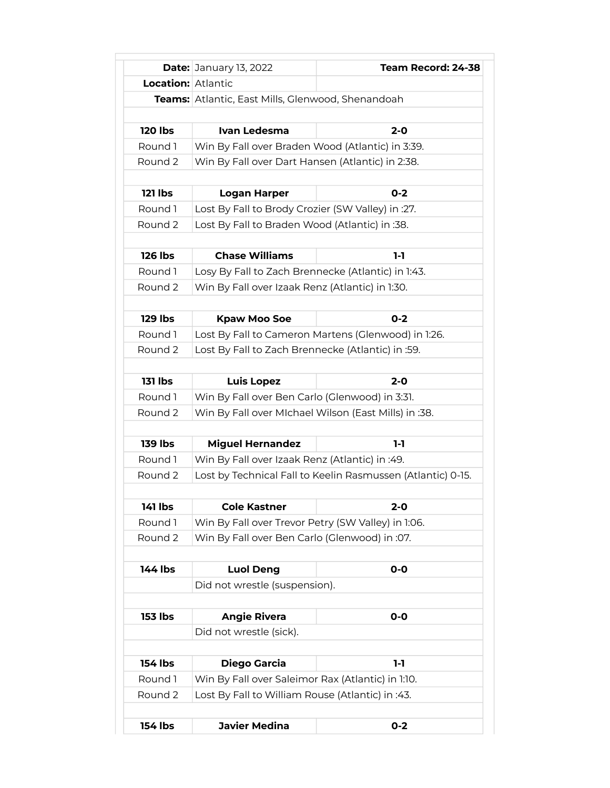|                           | <b>Date: January 13, 2022</b>                               | Team Record: 24-38                                  |
|---------------------------|-------------------------------------------------------------|-----------------------------------------------------|
| <b>Location: Atlantic</b> |                                                             |                                                     |
|                           | <b>Teams:</b> Atlantic, East Mills, Glenwood, Shenandoah    |                                                     |
|                           |                                                             |                                                     |
| <b>120 lbs</b>            | Ivan Ledesma                                                | $2 - 0$                                             |
| Round 1                   | Win By Fall over Braden Wood (Atlantic) in 3:39.            |                                                     |
| Round 2                   | Win By Fall over Dart Hansen (Atlantic) in 2:38.            |                                                     |
|                           |                                                             |                                                     |
| <b>121 lbs</b>            | <b>Logan Harper</b>                                         | $0 - 2$                                             |
| Round 1                   | Lost By Fall to Brody Crozier (SW Valley) in :27.           |                                                     |
| Round 2                   | Lost By Fall to Braden Wood (Atlantic) in :38.              |                                                     |
|                           |                                                             |                                                     |
| <b>126 lbs</b>            | <b>Chase Williams</b>                                       | 1-1                                                 |
| Round 1                   | Losy By Fall to Zach Brennecke (Atlantic) in 1:43.          |                                                     |
| Round 2                   | Win By Fall over Izaak Renz (Atlantic) in 1:30.             |                                                     |
|                           |                                                             |                                                     |
| <b>129 lbs</b>            | <b>Kpaw Moo Soe</b>                                         | $0 - 2$                                             |
| Round 1                   |                                                             | Lost By Fall to Cameron Martens (Glenwood) in 1:26. |
| Round 2                   | Lost By Fall to Zach Brennecke (Atlantic) in :59.           |                                                     |
|                           |                                                             |                                                     |
| <b>131 lbs</b>            | <b>Luis Lopez</b>                                           | $2 - 0$                                             |
| Round 1                   | Win By Fall over Ben Carlo (Glenwood) in 3:31.              |                                                     |
| Round 2                   | Win By Fall over MIchael Wilson (East Mills) in :38.        |                                                     |
|                           |                                                             |                                                     |
| <b>139 lbs</b>            | <b>Miguel Hernandez</b>                                     | 1-1                                                 |
| Round 1                   | Win By Fall over Izaak Renz (Atlantic) in :49.              |                                                     |
| Round 2                   | Lost by Technical Fall to Keelin Rasmussen (Atlantic) 0-15. |                                                     |
|                           |                                                             |                                                     |
| <b>141 lbs</b>            | <b>Cole Kastner</b>                                         | $2 - 0$                                             |
| Round 1                   | Win By Fall over Trevor Petry (SW Valley) in 1:06.          |                                                     |
| Round 2                   | Win By Fall over Ben Carlo (Glenwood) in :07.               |                                                     |
|                           |                                                             |                                                     |
| 144 lbs                   | <b>Luol Deng</b>                                            | $O-O$                                               |
|                           | Did not wrestle (suspension).                               |                                                     |
|                           |                                                             |                                                     |
| <b>153 lbs</b>            | <b>Angie Rivera</b>                                         | $O-O$                                               |
|                           | Did not wrestle (sick).                                     |                                                     |
|                           |                                                             |                                                     |
| <b>154 lbs</b>            | <b>Diego Garcia</b>                                         | $1-1$                                               |
| Round 1                   | Win By Fall over Saleimor Rax (Atlantic) in 1:10.           |                                                     |
| Round 2                   | Lost By Fall to William Rouse (Atlantic) in :43.            |                                                     |
|                           |                                                             |                                                     |
| 154 lbs                   | <b>Javier Medina</b>                                        | $0 - 2$                                             |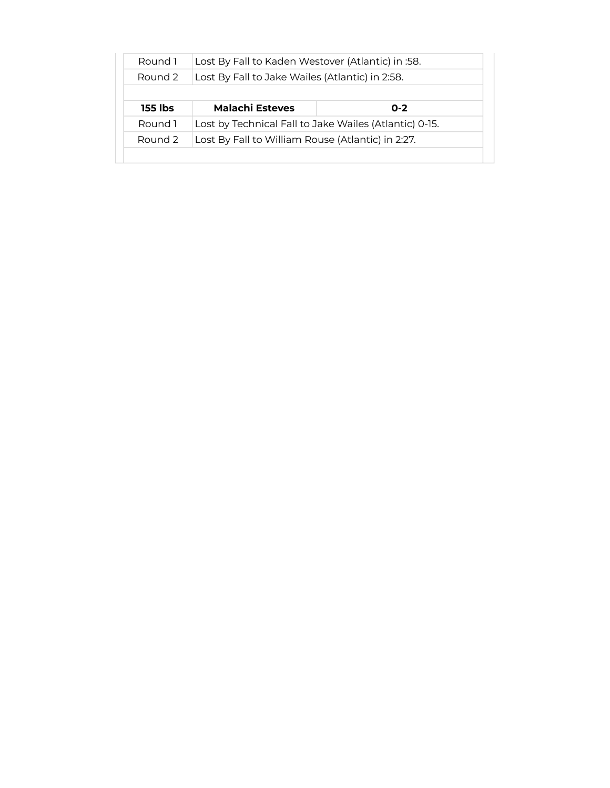| Round 1 | Lost By Fall to Kaden Westover (Atlantic) in :58.      |         |
|---------|--------------------------------------------------------|---------|
| Round 2 | Lost By Fall to Jake Wailes (Atlantic) in 2:58.        |         |
|         |                                                        |         |
| 155 lbs | <b>Malachi Esteves</b>                                 | $0 - 2$ |
| Round 1 | Lost by Technical Fall to Jake Wailes (Atlantic) 0-15. |         |
|         | Lost By Fall to William Rouse (Atlantic) in 2:27.      |         |
| Round 2 |                                                        |         |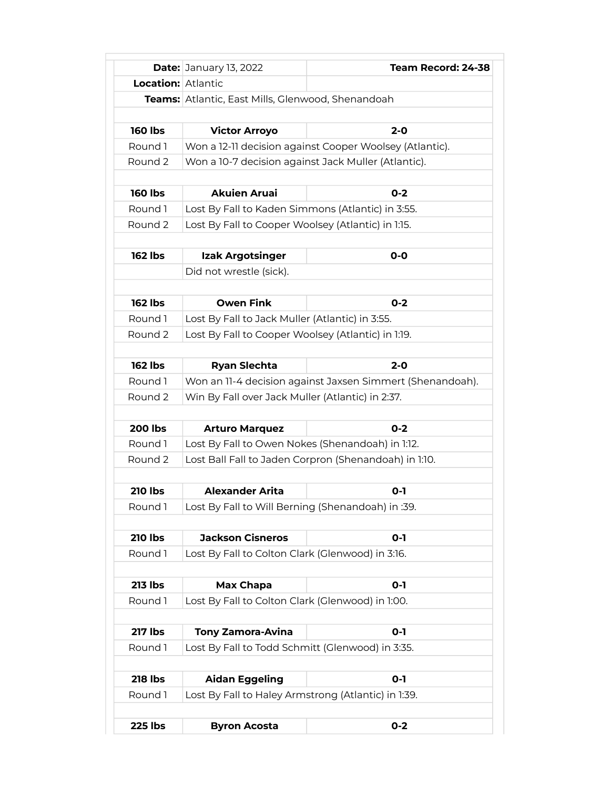|                           | <b>Date: January 13, 2022</b>                                                                         | Team Record: 24-38                                        |
|---------------------------|-------------------------------------------------------------------------------------------------------|-----------------------------------------------------------|
| <b>Location:</b> Atlantic |                                                                                                       |                                                           |
|                           | Teams: Atlantic, East Mills, Glenwood, Shenandoah                                                     |                                                           |
|                           |                                                                                                       |                                                           |
| <b>160 lbs</b>            | <b>Victor Arroyo</b>                                                                                  | $2 - 0$                                                   |
| Round 1                   |                                                                                                       | Won a 12-11 decision against Cooper Woolsey (Atlantic).   |
| Round 2                   | Won a 10-7 decision against Jack Muller (Atlantic).                                                   |                                                           |
| <b>160 lbs</b>            | <b>Akuien Aruai</b>                                                                                   | $0 - 2$                                                   |
| Round 1                   | Lost By Fall to Kaden Simmons (Atlantic) in 3:55.                                                     |                                                           |
| Round 2                   | Lost By Fall to Cooper Woolsey (Atlantic) in 1:15.                                                    |                                                           |
|                           |                                                                                                       |                                                           |
| <b>162 lbs</b>            | <b>Izak Argotsinger</b>                                                                               | $O-O$                                                     |
|                           | Did not wrestle (sick).                                                                               |                                                           |
| <b>162 lbs</b>            | <b>Owen Fink</b>                                                                                      | $0 - 2$                                                   |
| Round 1                   |                                                                                                       |                                                           |
| Round 2                   | Lost By Fall to Jack Muller (Atlantic) in 3:55.<br>Lost By Fall to Cooper Woolsey (Atlantic) in 1:19. |                                                           |
|                           |                                                                                                       |                                                           |
| <b>162 lbs</b>            | <b>Ryan Slechta</b>                                                                                   | $2 - 0$                                                   |
| Round 1                   |                                                                                                       | Won an 11-4 decision against Jaxsen Simmert (Shenandoah). |
| Round 2                   | Win By Fall over Jack Muller (Atlantic) in 2:37.                                                      |                                                           |
|                           |                                                                                                       |                                                           |
| <b>200 lbs</b>            | <b>Arturo Marquez</b>                                                                                 | $0 - 2$                                                   |
| Round 1                   | Lost By Fall to Owen Nokes (Shenandoah) in 1:12.                                                      |                                                           |
| Round 2                   |                                                                                                       | Lost Ball Fall to Jaden Corpron (Shenandoah) in 1:10.     |
| <b>210 lbs</b>            | <b>Alexander Arita</b>                                                                                | $O-I$                                                     |
| Round 1                   | Lost By Fall to Will Berning (Shenandoah) in :39.                                                     |                                                           |
|                           |                                                                                                       |                                                           |
| <b>210 lbs</b>            | <b>Jackson Cisneros</b>                                                                               | $O-I$                                                     |
| Round 1                   | Lost By Fall to Colton Clark (Glenwood) in 3:16.                                                      |                                                           |
| <b>213 lbs</b>            | Max Chapa                                                                                             | $O-I$                                                     |
| Round 1                   | Lost By Fall to Colton Clark (Glenwood) in 1:00.                                                      |                                                           |
| <b>217 lbs</b>            | <b>Tony Zamora-Avina</b>                                                                              | $0 - 1$                                                   |
| Round 1                   | Lost By Fall to Todd Schmitt (Glenwood) in 3:35.                                                      |                                                           |
|                           |                                                                                                       |                                                           |
| <b>218 lbs</b>            | <b>Aidan Eggeling</b>                                                                                 | $0 - 1$                                                   |
| Round 1                   | Lost By Fall to Haley Armstrong (Atlantic) in 1:39.                                                   |                                                           |
| <b>225 lbs</b>            | <b>Byron Acosta</b>                                                                                   | $0 - 2$                                                   |
|                           |                                                                                                       |                                                           |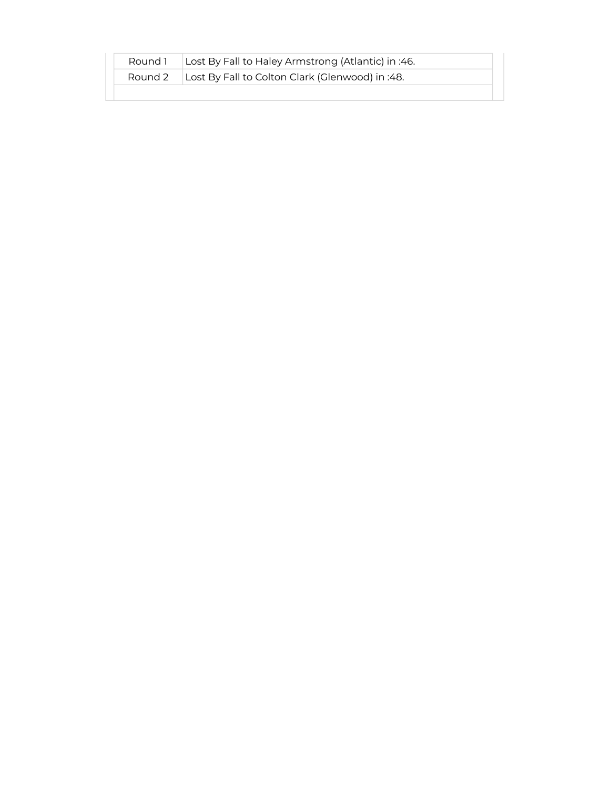| Round 1 | Lost By Fall to Haley Armstrong (Atlantic) in :46. |
|---------|----------------------------------------------------|
| Round 2 | Lost By Fall to Colton Clark (Glenwood) in :48.    |
|         |                                                    |